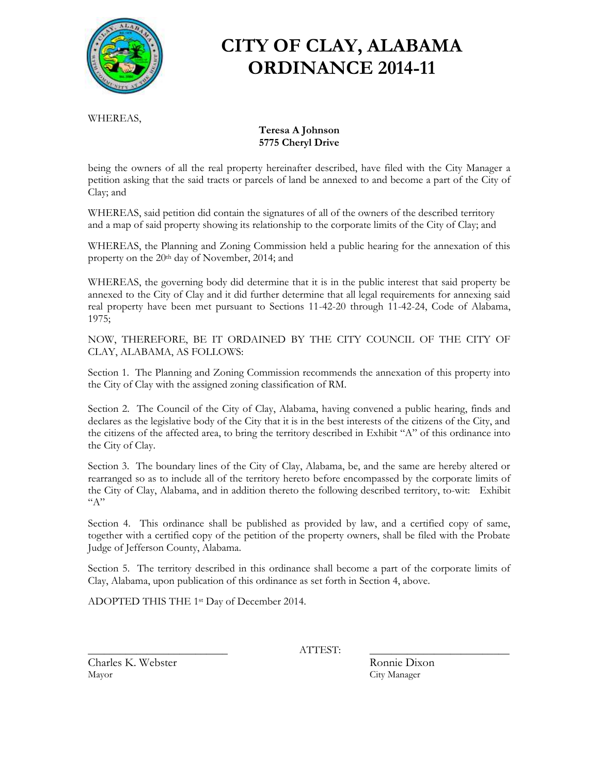

# **CITY OF CLAY, ALABAMA ORDINANCE 2014-11**

WHEREAS,

#### **Teresa A Johnson 5775 Cheryl Drive**

being the owners of all the real property hereinafter described, have filed with the City Manager a petition asking that the said tracts or parcels of land be annexed to and become a part of the City of Clay; and

WHEREAS, said petition did contain the signatures of all of the owners of the described territory and a map of said property showing its relationship to the corporate limits of the City of Clay; and

WHEREAS, the Planning and Zoning Commission held a public hearing for the annexation of this property on the 20<sup>th</sup> day of November, 2014; and

WHEREAS, the governing body did determine that it is in the public interest that said property be annexed to the City of Clay and it did further determine that all legal requirements for annexing said real property have been met pursuant to Sections 11-42-20 through 11-42-24, Code of Alabama, 1975;

NOW, THEREFORE, BE IT ORDAINED BY THE CITY COUNCIL OF THE CITY OF CLAY, ALABAMA, AS FOLLOWS:

Section 1. The Planning and Zoning Commission recommends the annexation of this property into the City of Clay with the assigned zoning classification of RM.

Section 2. The Council of the City of Clay, Alabama, having convened a public hearing, finds and declares as the legislative body of the City that it is in the best interests of the citizens of the City, and the citizens of the affected area, to bring the territory described in Exhibit "A" of this ordinance into the City of Clay.

Section 3. The boundary lines of the City of Clay, Alabama, be, and the same are hereby altered or rearranged so as to include all of the territory hereto before encompassed by the corporate limits of the City of Clay, Alabama, and in addition thereto the following described territory, to-wit: Exhibit  $``A"$ 

Section 4. This ordinance shall be published as provided by law, and a certified copy of same, together with a certified copy of the petition of the property owners, shall be filed with the Probate Judge of Jefferson County, Alabama.

Section 5. The territory described in this ordinance shall become a part of the corporate limits of Clay, Alabama, upon publication of this ordinance as set forth in Section 4, above.

ADOPTED THIS THE 1st Day of December 2014.

\_\_\_\_\_\_\_\_\_\_\_\_\_\_\_\_\_\_\_\_\_\_\_\_\_\_ ATTEST: \_\_\_\_\_\_\_\_\_\_\_\_\_\_\_\_\_\_\_\_\_\_\_\_\_\_

Charles K. Webster Ronnie Dixon Mayor City Manager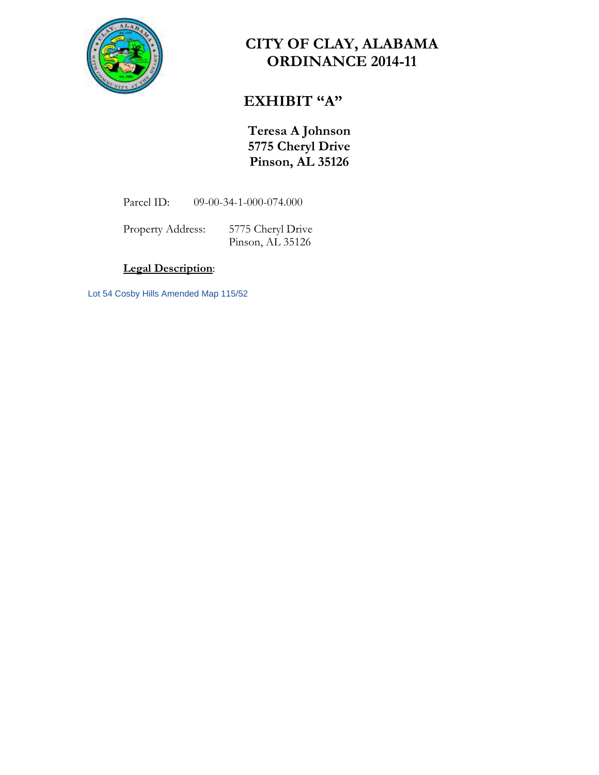

### **CITY OF CLAY, ALABAMA ORDINANCE 2014-11**

### **EXHIBIT "A"**

**Teresa A Johnson 5775 Cheryl Drive Pinson, AL 35126**

Parcel ID: 09-00-34-1-000-074.000

Property Address: 5775 Cheryl Drive Pinson, AL 35126

#### **Legal Description**:

Lot 54 Cosby Hills Amended Map 115/52